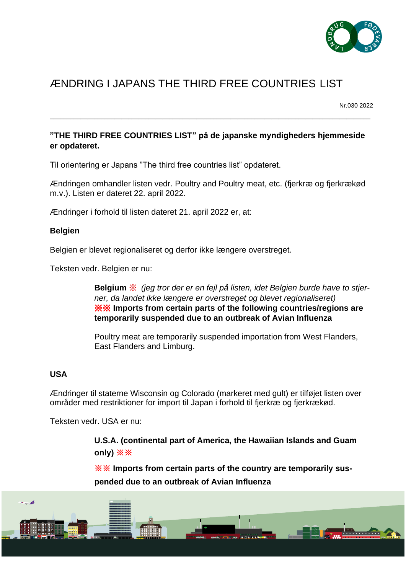

## ÆNDRING I JAPANS THE THIRD FREE COUNTRIES LIST

Nr.030 2022

## **"THE THIRD FREE COUNTRIES LIST" på de japanske myndigheders hjemmeside er opdateret.**

\_\_\_\_\_\_\_\_\_\_\_\_\_\_\_\_\_\_\_\_\_\_\_\_\_\_\_\_\_\_\_\_\_\_\_\_\_\_\_\_\_\_\_\_\_\_\_\_\_\_\_\_\_\_\_\_\_\_\_\_\_\_\_\_\_\_\_\_\_\_\_\_\_\_\_\_\_\_\_\_\_\_\_\_\_\_\_\_\_\_\_\_\_\_

Til orientering er Japans "The third free countries list" opdateret.

Ændringen omhandler listen vedr. Poultry and Poultry meat, etc. (fjerkræ og fjerkrækød m.v.). Listen er dateret 22. april 2022.

Ændringer i forhold til listen dateret 21. april 2022 er, at:

## **Belgien**

Belgien er blevet regionaliseret og derfor ikke længere overstreget.

Teksten vedr. Belgien er nu:

**Belgium** ※ *(jeg tror der er en fejl på listen, idet Belgien burde have to stjerner, da landet ikke længere er overstreget og blevet regionaliseret)* ※※ **Imports from certain parts of the following countries/regions are temporarily suspended due to an outbreak of Avian Influenza**

Poultry meat are temporarily suspended importation from West Flanders, East Flanders and Limburg.

## **USA**

Ændringer til staterne Wisconsin og Colorado (markeret med gult) er tilføjet listen over områder med restriktioner for import til Japan i forhold til fjerkræ og fjerkrækød.

Teksten vedr. USA er nu:

**U.S.A. (continental part of America, the Hawaiian Islands and Guam only) ※※**

**※※ Imports from certain parts of the country are temporarily suspended due to an outbreak of Avian Influenza**